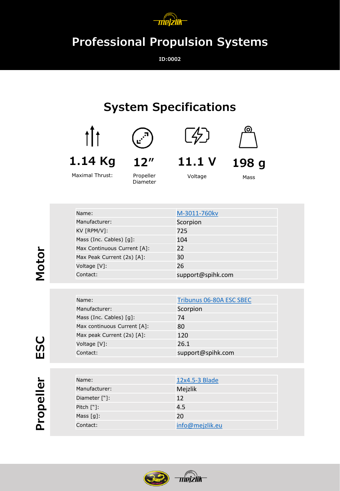

## **Professional Propulsion Systems**

**ID:0002**

## **System Specifications**





Maximal Thrust:



Propeller Diameter





**11.1 V**

<u> Zr </u>

Voltage

Mass

| Name:                       | M-3011-760kv      |
|-----------------------------|-------------------|
|                             |                   |
| Manufacturer:               | Scorpion          |
| KV [RPM/V]:                 | 725               |
| Mass (Inc. Cables) [g]:     | 104               |
| Max Continuous Current [A]: | 22                |
| Max Peak Current (2s) [A]:  | 30                |
| Voltage [V]:                | 26                |
| Contact:                    | support@spihk.com |

| Name:                       | Tribunus 06-80A ESC SBEC |
|-----------------------------|--------------------------|
| Manufacturer:               | Scorpion                 |
| Mass (Inc. Cables) [q]:     | 74                       |
| Max continuous Current [A]: | 80                       |
| Max peak Current (2s) [A]:  | 120                      |
| Voltage [V]:                | 26.1                     |
| Contact:                    | support@spihk.com        |

| Name:                    | 12x4.5-3 Blade  |
|--------------------------|-----------------|
| Manufacturer:            | Mejzlik         |
| Diameter ["]:            | 12              |
| Pitch $[\n$ :            | 4.5             |
| Mass $\lceil q \rceil$ : | 20              |
| Contact:                 | info@mejzlik.eu |



**Motor**

**ESC**

**Propeller**